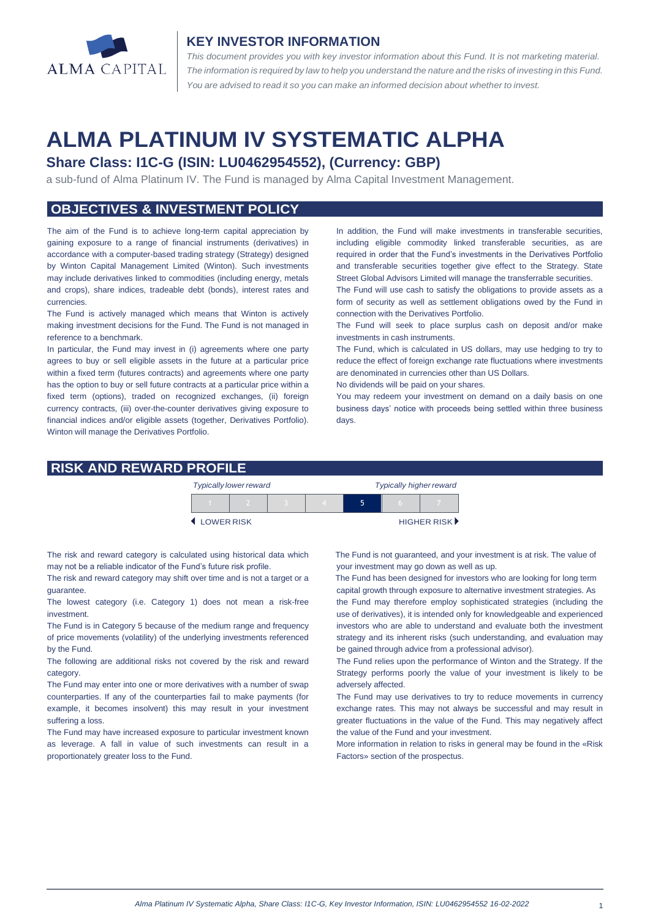

#### **KEY INVESTOR INFORMATION**

*This document provides you with key investor information about this Fund. It is not marketing material.*  The information is required by law to help you understand the nature and the risks of investing in this Fund. *You are advised to read it so you can make an informed decision about whether to invest.*

# **ALMA PLATINUM IV SYSTEMATIC ALPHA**

# **Share Class: I1C-G (ISIN: LU0462954552), (Currency: GBP)**

a sub-fund of Alma Platinum IV. The Fund is managed by Alma Capital Investment Management.

## **OBJECTIVES & INVESTMENT POLICY**

The aim of the Fund is to achieve long-term capital appreciation by gaining exposure to a range of financial instruments (derivatives) in accordance with a computer-based trading strategy (Strategy) designed by Winton Capital Management Limited (Winton). Such investments may include derivatives linked to commodities (including energy, metals and crops), share indices, tradeable debt (bonds), interest rates and currencies.

The Fund is actively managed which means that Winton is actively making investment decisions for the Fund. The Fund is not managed in reference to a benchmark.

In particular, the Fund may invest in (i) agreements where one party agrees to buy or sell eligible assets in the future at a particular price within a fixed term (futures contracts) and agreements where one party has the option to buy or sell future contracts at a particular price within a fixed term (options), traded on recognized exchanges, (ii) foreign currency contracts, (iii) over-the-counter derivatives giving exposure to financial indices and/or eligible assets (together, Derivatives Portfolio). Winton will manage the Derivatives Portfolio.

In addition, the Fund will make investments in transferable securities, including eligible commodity linked transferable securities, as are required in order that the Fund's investments in the Derivatives Portfolio and transferable securities together give effect to the Strategy. State Street Global Advisors Limited will manage the transferrable securities.

The Fund will use cash to satisfy the obligations to provide assets as a form of security as well as settlement obligations owed by the Fund in connection with the Derivatives Portfolio.

The Fund will seek to place surplus cash on deposit and/or make investments in cash instruments.

The Fund, which is calculated in US dollars, may use hedging to try to reduce the effect of foreign exchange rate fluctuations where investments are denominated in currencies other than US Dollars.

No dividends will be paid on your shares.

You may redeem your investment on demand on a daily basis on one business days' notice with proceeds being settled within three business days.

#### **RISK AND REWARD PROFILE**

|            | <b>Typically lower reward</b> |  | <b>Typically higher reward</b> |  |  |             |
|------------|-------------------------------|--|--------------------------------|--|--|-------------|
|            |                               |  |                                |  |  |             |
| LOWER RISK |                               |  |                                |  |  | HIGHER RISK |

The risk and reward category is calculated using historical data which may not be a reliable indicator of the Fund's future risk profile.

The risk and reward category may shift over time and is not a target or a guarantee.

The lowest category (i.e. Category 1) does not mean a risk-free investment.

The Fund is in Category 5 because of the medium range and frequency of price movements (volatility) of the underlying investments referenced by the Fund.

The following are additional risks not covered by the risk and reward category.

The Fund may enter into one or more derivatives with a number of swap counterparties. If any of the counterparties fail to make payments (for example, it becomes insolvent) this may result in your investment suffering a loss.

The Fund may have increased exposure to particular investment known as leverage. A fall in value of such investments can result in a proportionately greater loss to the Fund.

 The Fund is not guaranteed, and your investment is at risk. The value of your investment may go down as well as up.

 The Fund has been designed for investors who are looking for long term capital growth through exposure to alternative investment strategies. As the Fund may therefore employ sophisticated strategies (including the use of derivatives), it is intended only for knowledgeable and experienced investors who are able to understand and evaluate both the investment strategy and its inherent risks (such understanding, and evaluation may be gained through advice from a professional advisor).

The Fund relies upon the performance of Winton and the Strategy. If the Strategy performs poorly the value of your investment is likely to be adversely affected.

The Fund may use derivatives to try to reduce movements in currency exchange rates. This may not always be successful and may result in greater fluctuations in the value of the Fund. This may negatively affect the value of the Fund and your investment.

More information in relation to risks in general may be found in the «Risk Factors» section of the prospectus.